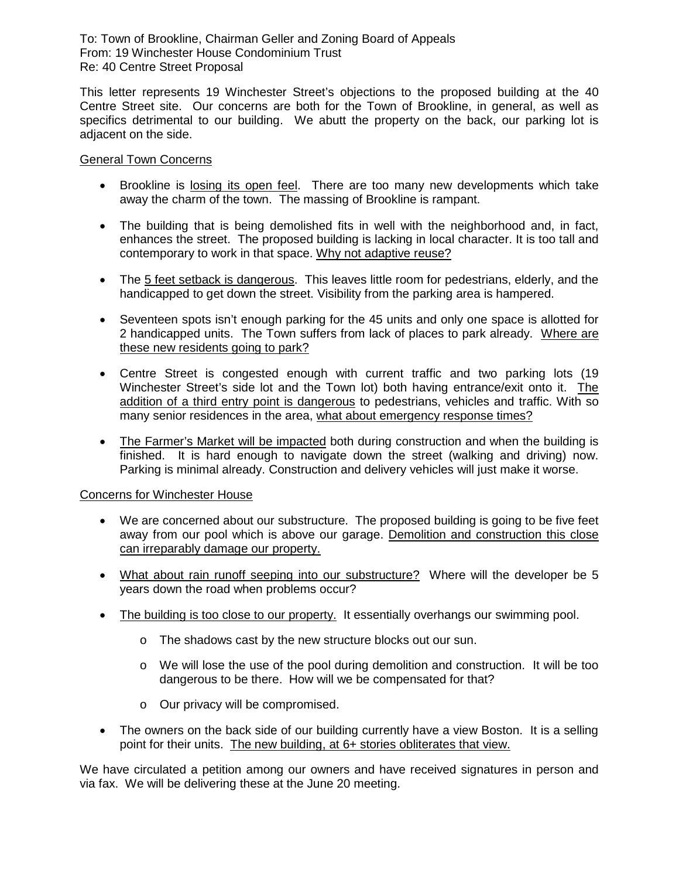To: Town of Brookline, Chairman Geller and Zoning Board of Appeals From: 19 Winchester House Condominium Trust Re: 40 Centre Street Proposal

This letter represents 19 Winchester Street's objections to the proposed building at the 40 Centre Street site. Our concerns are both for the Town of Brookline, in general, as well as specifics detrimental to our building. We abutt the property on the back, our parking lot is adjacent on the side.

## General Town Concerns

- Brookline is losing its open feel. There are too many new developments which take away the charm of the town. The massing of Brookline is rampant.
- The building that is being demolished fits in well with the neighborhood and, in fact, enhances the street. The proposed building is lacking in local character. It is too tall and contemporary to work in that space. Why not adaptive reuse?
- The 5 feet setback is dangerous. This leaves little room for pedestrians, elderly, and the handicapped to get down the street. Visibility from the parking area is hampered.
- Seventeen spots isn't enough parking for the 45 units and only one space is allotted for 2 handicapped units. The Town suffers from lack of places to park already. Where are these new residents going to park?
- Centre Street is congested enough with current traffic and two parking lots (19 Winchester Street's side lot and the Town lot) both having entrance/exit onto it. The addition of a third entry point is dangerous to pedestrians, vehicles and traffic. With so many senior residences in the area, what about emergency response times?
- The Farmer's Market will be impacted both during construction and when the building is finished. It is hard enough to navigate down the street (walking and driving) now. Parking is minimal already. Construction and delivery vehicles will just make it worse.

## Concerns for Winchester House

- We are concerned about our substructure. The proposed building is going to be five feet away from our pool which is above our garage. Demolition and construction this close can irreparably damage our property.
- What about rain runoff seeping into our substructure? Where will the developer be 5 years down the road when problems occur?
- The building is too close to our property. It essentially overhangs our swimming pool.
	- o The shadows cast by the new structure blocks out our sun.
	- o We will lose the use of the pool during demolition and construction. It will be too dangerous to be there. How will we be compensated for that?
	- o Our privacy will be compromised.
- The owners on the back side of our building currently have a view Boston. It is a selling point for their units. The new building, at 6+ stories obliterates that view.

We have circulated a petition among our owners and have received signatures in person and via fax. We will be delivering these at the June 20 meeting.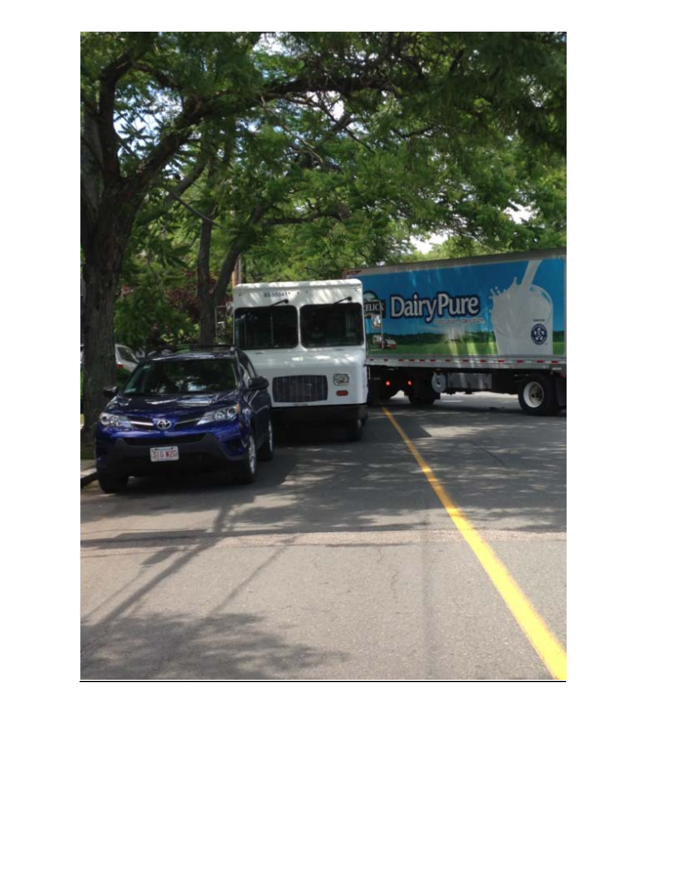